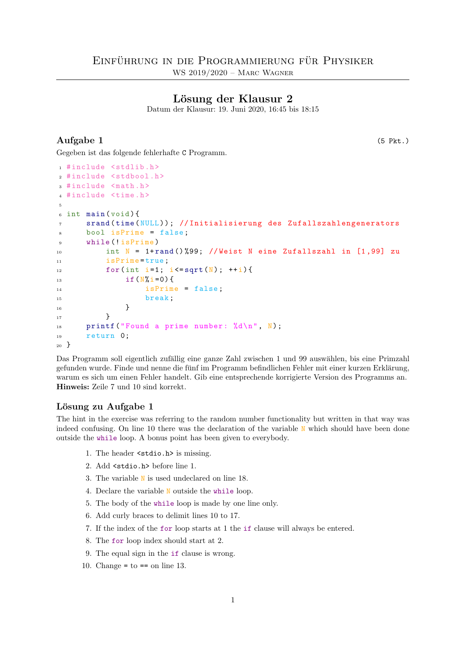# Lösung der Klausur 2

Datum der Klausur: 19. Juni 2020, 16:45 bis 18:15

# Aufgabe 1 (5 Pkt.)

Gegeben ist das folgende fehlerhafte C Programm.

```
1 #include <stdlib.h>
2 # include <stdbool .h>
3 # include <math .h>
4 # include <time .h>
5
6 int main (void) {
7 srand ( time ( NULL ) ) ; // Initialisierung des Zufallszahlengenerators
8 bool isPrime = false ;
9 While (!isPrime)
10 int N = 1+ rand () %99; // Weist N eine Zufallszahl in [1,99] zu
11 isPrime=true;
12 for(int i=1; i <= sqrt(N); ++i){
13 if (N\% i = 0) {
14 isPrime = false;
15 break;
16 }
17 }
18 printf ("Found a prime number: \lambda d \n\mid n", N);
19 return 0;
20 }
```
Das Programm soll eigentlich zufällig eine ganze Zahl zwischen 1 und 99 auswählen, bis eine Primzahl gefunden wurde. Finde und nenne die fünf im Programm befindlichen Fehler mit einer kurzen Erklärung, warum es sich um einen Fehler handelt. Gib eine entsprechende korrigierte Version des Programms an. Hinweis: Zeile 7 und 10 sind korrekt.

## Lösung zu Aufgabe 1

The hint in the exercise was referring to the random number functionality but written in that way was indeed confusing. On line 10 there was the declaration of the variable N which should have been done outside the while loop. A bonus point has been given to everybody.

- 1. The header <stdio.h> is missing.
- 2. Add <stdio.h> before line 1.
- 3. The variable N is used undeclared on line 18.
- 4. Declare the variable N outside the while loop.
- 5. The body of the while loop is made by one line only.
- 6. Add curly braces to delimit lines 10 to 17.
- 7. If the index of the for loop starts at 1 the if clause will always be entered.
- 8. The for loop index should start at 2.
- 9. The equal sign in the if clause is wrong.
- 10. Change =  $to == on line 13$ .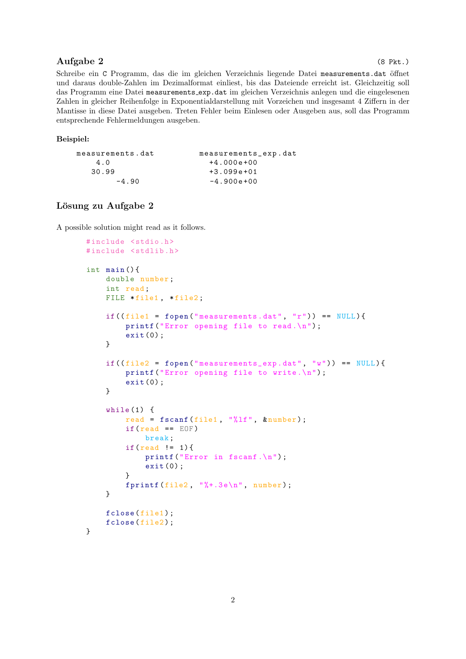# Aufgabe 2 (8 Pkt.)

Schreibe ein C Programm, das die im gleichen Verzeichnis liegende Datei measurements.dat öffnet und daraus double-Zahlen im Dezimalformat einliest, bis das Dateiende erreicht ist. Gleichzeitig soll das Programm eine Datei measurements exp.dat im gleichen Verzeichnis anlegen und die eingelesenen Zahlen in gleicher Reihenfolge in Exponentialdarstellung mit Vorzeichen und insgesamt 4 Ziffern in der Mantisse in diese Datei ausgeben. Treten Fehler beim Einlesen oder Ausgeben aus, soll das Programm entsprechende Fehlermeldungen ausgeben.

#### Beispiel:

| measurements.dat | measurements_exp.dat |
|------------------|----------------------|
| 4.0              | $+4.000e+00$         |
| 30.99            | $+3.099e+01$         |
| $-4.90$          | $-4.900e+00$         |

# Lösung zu Aufgabe 2

A possible solution might read as it follows.

```
# include <stdio .h>
#include <stdlib.h>
int main () {
    double number ;
    int read ;
    FILE *file1, *file2;
    if ((file1 = fopen("measures.dat", "r") ) == NULL)printf ("Error opening file to read.\n");
         exit(0);}
    if ((file2 = fopen("measures\_exp.dat", "w")) == NULL)printf ("Error opening file to write.\langle n'' \rangle;
         exit (0) ;
    }
    while (1) {
         read = fscanf(file1, "%lf", <i>knownber</i>);
         if(\text{read} == \text{EOF})break ;
         if(\text{read } != 1)printf ("Error in fscanf.\n");
              exit (0) ;
         }
         fprintf (file2, "\text{, 3e\n}, number);
    }
    fclose (file1);
    fclose (file2);
}
```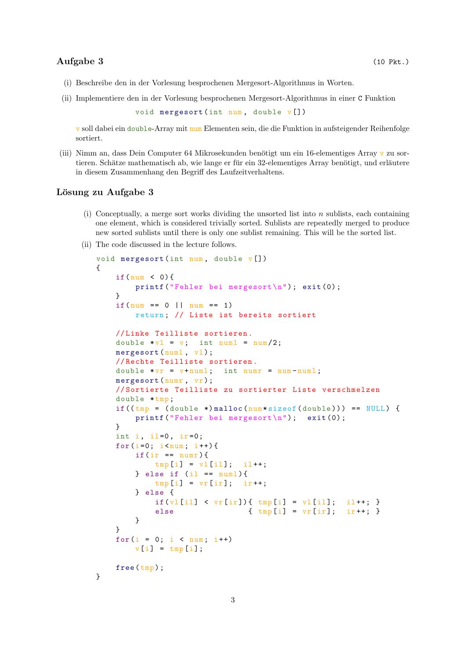### Aufgabe 3 (10 Pkt.)

- (i) Beschreibe den in der Vorlesung besprochenen Mergesort-Algorithmus in Worten.
- (ii) Implementiere den in der Vorlesung besprochenen Mergesort-Algorithmus in einer C Funktion

```
void mergesort (int num, double v[])
```
v soll dabei ein double-Array mit num Elementen sein, die die Funktion in aufsteigender Reihenfolge sortiert.

(iii) Nimm an, dass Dein Computer 64 Mikrosekunden benötigt um ein 16-elementiges Array v zu sortieren. Schätze mathematisch ab, wie lange er für ein 32-elementiges Array benötigt, und erläutere in diesem Zusammenhang den Begriff des Laufzeitverhaltens.

#### Lösung zu Aufgabe 3

- (i) Conceptually, a merge sort works dividing the unsorted list into  $n$  sublists, each containing one element, which is considered trivially sorted. Sublists are repeatedly merged to produce new sorted sublists until there is only one sublist remaining. This will be the sorted list.
- (ii) The code discussed in the lecture follows.

```
void mergesort (int num, double v[])
{
    if(num < 0){
        printf (" Fehler bei mergesort \n") ; exit (0) ;
    }
    if(num == 0 || num == 1)return ; // Liste ist bereits sortiert
    // Linke Teilliste sortieren .
    double *v1 = v; int numl = num/2;
    mergesort (numl, vl);
    // Rechte Teilliste sortieren .
    double *vr = v + num1; int numr = num-numl;
    mergesort (numr, vr);
    // Sortierte Teilliste zu sortierter Liste verschmelzen
    double * tmp;
    if ((\text{tmp} = (double *) \text{malloc} (\text{num} * sizeof (double))) == NULL) {
        printf (" Fehler bei mergesort \n") ; exit (0) ;
    }
    int i, il=0, ir=0;
    for (i=0; i \leq num; i++) {
        if (ir == numr){
             tmp[i] = v1[i1]; \quad i1++;} else if (il == num1){
             tmp[i] = vr[i]; ir++;} else {
             if(v1[i1] < vr[ir]) { \t{tmp[i] = vl[i1] ; i1++; }}else {\rm (tmp[i] = vr[i]; \quad ir++; )}}
    }
    for (i = 0; i < num; i++)v[i] = \text{tmp}[i];free (tmp);
}
```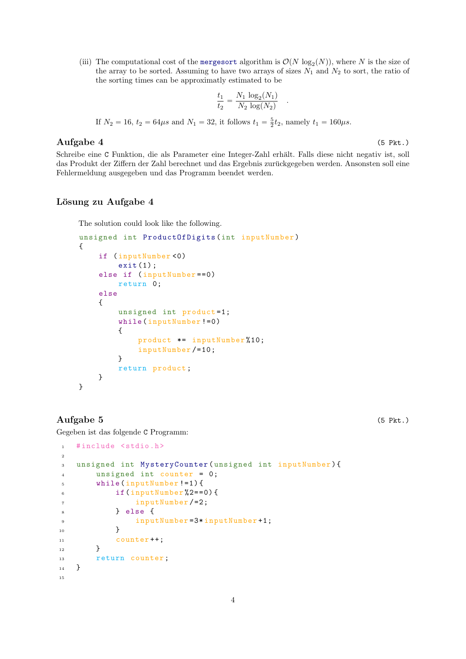(iii) The computational cost of the mergesort algorithm is  $\mathcal{O}(N \log_2(N))$ , where N is the size of the array to be sorted. Assuming to have two arrays of sizes  $N_1$  and  $N_2$  to sort, the ratio of the sorting times can be approximatly estimated to be

$$
\frac{t_1}{t_2} = \frac{N_1 \log_2(N_1)}{N_2 \log(N_2)}
$$

.

If  $N_2 = 16$ ,  $t_2 = 64\mu s$  and  $N_1 = 32$ , it follows  $t_1 = \frac{5}{2}t_2$ , namely  $t_1 = 160\mu s$ .

### $\text{Augabe } 4$  (5 Pkt.)

Schreibe eine C Funktion, die als Parameter eine Integer-Zahl erhält. Falls diese nicht negativ ist, soll das Produkt der Ziffern der Zahl berechnet und das Ergebnis zurückgegeben werden. Ansonsten soll eine Fehlermeldung ausgegeben und das Programm beendet werden.

## Lösung zu Aufgabe 4

The solution could look like the following.

```
unsigned int ProductOfDigits (int inputNumber )
{
    if ( inputNumber <0)
        exit(1);else if ( inputNumber ==0)
        return 0;
    else
    {
         unsigned int product=1;
        while ( inputNumber !=0)
         {
             product *= inputNumber %10;
             inputNumber /=10;
         }
         return product ;
    }
}
```
# Aufgabe 5 (5 Pkt.)

Gegeben ist das folgende C Programm:

```
1 # include <stdio .h>
2
3 unsigned int MysteryCounter ( unsigned int inputNumber ) {
4 unsigned int counter = 0;
5 while ( inputNumber !=1) {
6 if (inputNumber %2 == 0) {
7 inputNumber /=2;
8 } else {
9 inputNumber=3*inputNumber+1;
10 }
11 counter ++;
12 }
13 return counter;
14 }
15
```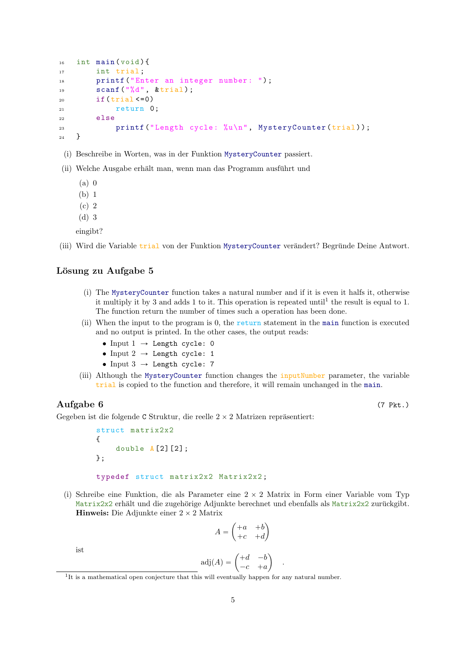```
_{16} int main (void) {
17 int trial;
18 printf ("Enter an integer number: ");
19 \text{scanf}(\sqrt[m]{d^n}, \text{ ktrial});20 if (trial < = 0)21 return 0;
22 else
23 printf ("Length cycle: \sqrt[n]{u\cdot n}", MysteryCounter (trial));
_{24} }
```
- (i) Beschreibe in Worten, was in der Funktion MysteryCounter passiert.
- (ii) Welche Ausgabe erhält man, wenn man das Programm ausführt und
	- $(a)$  0
	- (b) 1
	- (c) 2
	- (d) 3

eingibt?

(iii) Wird die Variable trial von der Funktion MysteryCounter verändert? Begründe Deine Antwort.

#### Lösung zu Aufgabe 5

- (i) The MysteryCounter function takes a natural number and if it is even it halfs it, otherwise it multiply it by 3 and adds 1 to it. This operation is repeated until<sup>1</sup> the result is equal to 1. The function return the number of times such a operation has been done.
- (ii) When the input to the program is 0, the return statement in the main function is executed and no output is printed. In the other cases, the output reads:
	- Input  $1 \rightarrow$  Length cycle: 0
	- Input  $2 \rightarrow$  Length cycle: 1
	- Input  $3 \rightarrow$  Length cycle: 7
- (iii) Although the MysteryCounter function changes the inputNumber parameter, the variable trial is copied to the function and therefore, it will remain unchanged in the main.

Aufgabe 6 (7 Pkt.)

Gegeben ist die folgende C Struktur, die reelle  $2 \times 2$  Matrizen repräsentiert:

```
struct matrix2x2
{
    double A [2] [2];};
typedef struct matrix2x2 Matrix2x2 ;
```
(i) Schreibe eine Funktion, die als Parameter eine  $2 \times 2$  Matrix in Form einer Variable vom Typ Matrix2x2 erhält und die zugehörige Adjunkte berechnet und ebenfalls als Matrix2x2 zurückgibt. Hinweis: Die Adjunkte einer  $2 \times 2$  Matrix

$$
A = \begin{pmatrix} +a & +b \\ +c & +d \end{pmatrix}
$$

ist

$$
adj(A) = \begin{pmatrix} +d & -b \\ -c & +a \end{pmatrix}
$$

.

<sup>&</sup>lt;sup>1</sup>It is a mathematical open conjecture that this will eventually happen for any natural number.